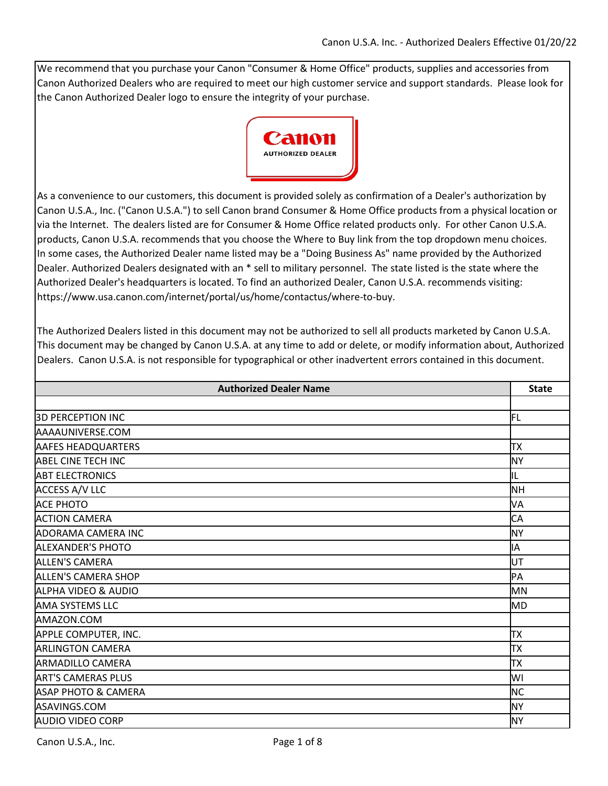We recommend that you purchase your Canon "Consumer & Home Office" products, supplies and accessories from Canon Authorized Dealers who are required to meet our high customer service and support standards. Please look for the Canon Authorized Dealer logo to ensure the integrity of your purchase.



As a convenience to our customers, this document is provided solely as confirmation of a Dealer's authorization by Canon U.S.A., Inc. ("Canon U.S.A.") to sell Canon brand Consumer & Home Office products from a physical location or via the Internet. The dealers listed are for Consumer & Home Office related products only. For other Canon U.S.A. products, Canon U.S.A. recommends that you choose the Where to Buy link from the top dropdown menu choices. In some cases, the Authorized Dealer name listed may be a "Doing Business As" name provided by the Authorized Dealer. Authorized Dealers designated with an \* sell to military personnel. The state listed is the state where the Authorized Dealer's headquarters is located. To find an authorized Dealer, Canon U.S.A. recommends visiting: https://www.usa.canon.com/internet/portal/us/home/contactus/where-to-buy.

The Authorized Dealers listed in this document may not be authorized to sell all products marketed by Canon U.S.A. This document may be changed by Canon U.S.A. at any time to add or delete, or modify information about, Authorized Dealers. Canon U.S.A. is not responsible for typographical or other inadvertent errors contained in this document.

| <b>Authorized Dealer Name</b>  | <b>State</b> |
|--------------------------------|--------------|
|                                |              |
| <b>3D PERCEPTION INC</b>       | IFL          |
| AAAAUNIVERSE.COM               |              |
| <b>AAFES HEADQUARTERS</b>      | TX           |
| <b>ABEL CINE TECH INC</b>      | <b>NY</b>    |
| <b>ABT ELECTRONICS</b>         | IL           |
| <b>ACCESS A/V LLC</b>          | <b>NH</b>    |
| <b>ACE PHOTO</b>               | VA           |
| <b>ACTION CAMERA</b>           | CA           |
| <b>ADORAMA CAMERA INC</b>      | <b>NY</b>    |
| <b>ALEXANDER'S PHOTO</b>       | IΑ           |
| <b>ALLEN'S CAMERA</b>          | UT           |
| <b>ALLEN'S CAMERA SHOP</b>     | PA           |
| ALPHA VIDEO & AUDIO            | MN           |
| <b>AMA SYSTEMS LLC</b>         | <b>MD</b>    |
| AMAZON.COM                     |              |
| APPLE COMPUTER, INC.           | <b>TX</b>    |
| <b>ARLINGTON CAMERA</b>        | TX           |
| <b>ARMADILLO CAMERA</b>        | <b>TX</b>    |
| <b>ART'S CAMERAS PLUS</b>      | WI           |
| <b>ASAP PHOTO &amp; CAMERA</b> | <b>NC</b>    |
| ASAVINGS.COM                   | <b>NY</b>    |
| <b>AUDIO VIDEO CORP</b>        | <b>NY</b>    |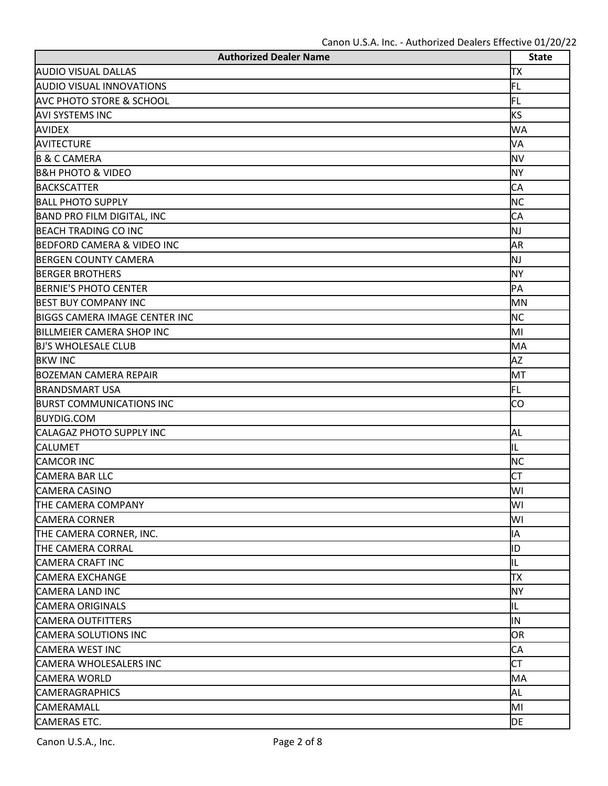| <b>Authorized Dealer Name</b>         | <b>State</b> |
|---------------------------------------|--------------|
| <b>AUDIO VISUAL DALLAS</b>            | ТX           |
| <b>AUDIO VISUAL INNOVATIONS</b>       | FL           |
| <b>AVC PHOTO STORE &amp; SCHOOL</b>   | FL           |
| <b>AVI SYSTEMS INC</b>                | <b>KS</b>    |
| <b>AVIDEX</b>                         | <b>WA</b>    |
| <b>AVITECTURE</b>                     | VA           |
| <b>B &amp; C CAMERA</b>               | <b>NV</b>    |
| <b>B&amp;H PHOTO &amp; VIDEO</b>      | <b>NY</b>    |
| <b>BACKSCATTER</b>                    | CA           |
| <b>BALL PHOTO SUPPLY</b>              | <b>NC</b>    |
| <b>BAND PRO FILM DIGITAL, INC</b>     | CA           |
| <b>BEACH TRADING CO INC</b>           | NJ           |
| <b>BEDFORD CAMERA &amp; VIDEO INC</b> | AR           |
| <b>BERGEN COUNTY CAMERA</b>           | NJ           |
| <b>BERGER BROTHERS</b>                | <b>NY</b>    |
| <b>BERNIE'S PHOTO CENTER</b>          | PA           |
| <b>BEST BUY COMPANY INC</b>           | MN           |
| <b>BIGGS CAMERA IMAGE CENTER INC</b>  | <b>NC</b>    |
| <b>BILLMEIER CAMERA SHOP INC</b>      | MI           |
| <b>BJ'S WHOLESALE CLUB</b>            | MA           |
| <b>BKW INC</b>                        | <b>AZ</b>    |
| <b>BOZEMAN CAMERA REPAIR</b>          | MT           |
| <b>BRANDSMART USA</b>                 | FL           |
| <b>BURST COMMUNICATIONS INC</b>       | CO           |
| <b>BUYDIG.COM</b>                     |              |
| <b>CALAGAZ PHOTO SUPPLY INC</b>       | AL           |
| <b>CALUMET</b>                        | IL           |
| <b>CAMCOR INC</b>                     | <b>NC</b>    |
| <b>CAMERA BAR LLC</b>                 | <b>CT</b>    |
| <b>CAMERA CASINO</b>                  | WI           |
| THE CAMERA COMPANY                    | W١           |
| <b>CAMERA CORNER</b>                  | WI           |
| THE CAMERA CORNER, INC.               | ΙA           |
| THE CAMERA CORRAL                     | ID           |
| <b>CAMERA CRAFT INC</b>               | IL           |
| <b>CAMERA EXCHANGE</b>                | TХ           |
| <b>CAMERA LAND INC</b>                | <b>NY</b>    |
| <b>CAMERA ORIGINALS</b>               | IIL.         |
| <b>CAMERA OUTFITTERS</b>              | IN           |
| <b>CAMERA SOLUTIONS INC</b>           | <b>OR</b>    |
| <b>CAMERA WEST INC</b>                | CA           |
| <b>CAMERA WHOLESALERS INC</b>         | <b>CT</b>    |
| <b>CAMERA WORLD</b>                   | MA           |
| <b>CAMERAGRAPHICS</b>                 | AL           |
| <b>CAMERAMALL</b>                     | MI           |
| <b>CAMERAS ETC.</b>                   | DE           |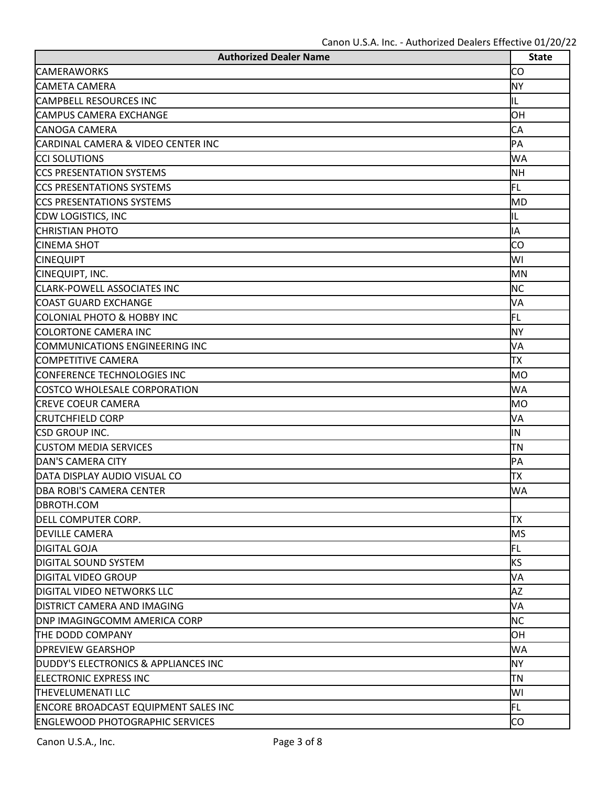| <b>Authorized Dealer Name</b>               | <b>State</b> |
|---------------------------------------------|--------------|
| <b>CAMERAWORKS</b>                          | <b>CO</b>    |
| <b>CAMETA CAMERA</b>                        | <b>NY</b>    |
| <b>CAMPBELL RESOURCES INC</b>               | IL           |
| <b>CAMPUS CAMERA EXCHANGE</b>               | ЮH           |
| <b>CANOGA CAMERA</b>                        | CA           |
| CARDINAL CAMERA & VIDEO CENTER INC          | PA           |
| <b>CCI SOLUTIONS</b>                        | <b>WA</b>    |
| <b>CCS PRESENTATION SYSTEMS</b>             | <b>NH</b>    |
| <b>ICCS PRESENTATIONS SYSTEMS</b>           | FL           |
| <b>CCS PRESENTATIONS SYSTEMS</b>            | <b>MD</b>    |
| CDW LOGISTICS, INC                          | IL           |
| <b>CHRISTIAN PHOTO</b>                      | lА           |
| <b>CINEMA SHOT</b>                          | CO           |
| <b>CINEQUIPT</b>                            | WI           |
| CINEQUIPT, INC.                             | <b>MN</b>    |
| <b>CLARK-POWELL ASSOCIATES INC</b>          | <b>NC</b>    |
| <b>COAST GUARD EXCHANGE</b>                 | VA           |
| <b>COLONIAL PHOTO &amp; HOBBY INC</b>       | FL           |
| <b>COLORTONE CAMERA INC</b>                 | <b>NY</b>    |
| COMMUNICATIONS ENGINEERING INC              | VA           |
| COMPETITIVE CAMERA                          | TХ           |
| <b>CONFERENCE TECHNOLOGIES INC</b>          | <b>MO</b>    |
| COSTCO WHOLESALE CORPORATION                | <b>WA</b>    |
| <b>CREVE COEUR CAMERA</b>                   | <b>MO</b>    |
| <b>CRUTCHFIELD CORP</b>                     | VA           |
| <b>CSD GROUP INC.</b>                       | IN           |
| <b>CUSTOM MEDIA SERVICES</b>                | TΝ           |
| DAN'S CAMERA CITY                           | PA           |
| DATA DISPLAY AUDIO VISUAL CO                | TХ           |
| <b>DBA ROBI'S CAMERA CENTER</b>             | <b>WA</b>    |
| DBROTH.COM                                  |              |
| DELL COMPUTER CORP.                         | TХ           |
| <b>DEVILLE CAMERA</b>                       | <b>MS</b>    |
| <b>DIGITAL GOJA</b>                         | FL           |
| <b>DIGITAL SOUND SYSTEM</b>                 | <b>KS</b>    |
| <b>DIGITAL VIDEO GROUP</b>                  | VA           |
| <b>DIGITAL VIDEO NETWORKS LLC</b>           | <b>AZ</b>    |
| <b>DISTRICT CAMERA AND IMAGING</b>          | VA           |
| <b>DNP IMAGINGCOMM AMERICA CORP</b>         | <b>NC</b>    |
| THE DODD COMPANY                            | ЮH           |
| <b>DPREVIEW GEARSHOP</b>                    | <b>WA</b>    |
| DUDDY'S ELECTRONICS & APPLIANCES INC        | <b>NY</b>    |
| <b>ELECTRONIC EXPRESS INC</b>               | TN           |
| <b>THEVELUMENATI LLC</b>                    | WI           |
| <b>ENCORE BROADCAST EQUIPMENT SALES INC</b> | FL           |
| <b>ENGLEWOOD PHOTOGRAPHIC SERVICES</b>      | CO           |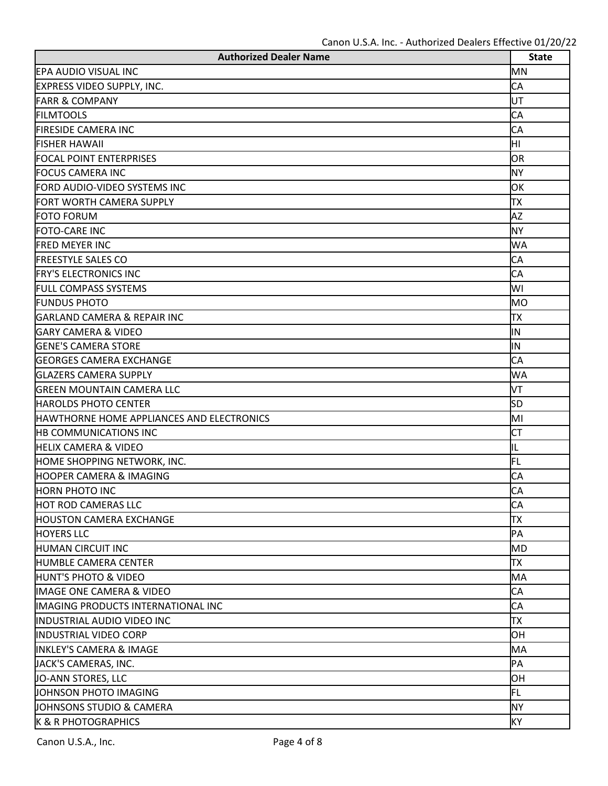| <b>Authorized Dealer Name</b>                    | <b>State</b> |
|--------------------------------------------------|--------------|
| EPA AUDIO VISUAL INC                             | MN           |
| <b>EXPRESS VIDEO SUPPLY, INC.</b>                | <b>CA</b>    |
| <b>FARR &amp; COMPANY</b>                        | lUТ          |
| <b>FILMTOOLS</b>                                 | <b>CA</b>    |
| <b>FIRESIDE CAMERA INC</b>                       | <b>CA</b>    |
| <b>FISHER HAWAII</b>                             | lнı          |
| <b>FOCAL POINT ENTERPRISES</b>                   | OR           |
| <b>FOCUS CAMERA INC</b>                          | <b>NY</b>    |
| FORD AUDIO-VIDEO SYSTEMS INC                     | OK           |
| <b>FORT WORTH CAMERA SUPPLY</b>                  | TХ           |
| <b>FOTO FORUM</b>                                | <b>AZ</b>    |
| <b>FOTO-CARE INC</b>                             | <b>NY</b>    |
| <b>FRED MEYER INC</b>                            | <b>WA</b>    |
| <b>FREESTYLE SALES CO</b>                        | <b>CA</b>    |
| <b>FRY'S ELECTRONICS INC</b>                     | <b>CA</b>    |
| <b>FULL COMPASS SYSTEMS</b>                      | WI           |
| <b>FUNDUS PHOTO</b>                              | <b>MO</b>    |
| <b>GARLAND CAMERA &amp; REPAIR INC</b>           | TХ           |
| <b>GARY CAMERA &amp; VIDEO</b>                   | IN           |
| <b>GENE'S CAMERA STORE</b>                       | lΝ           |
| <b>GEORGES CAMERA EXCHANGE</b>                   | CA           |
| <b>GLAZERS CAMERA SUPPLY</b>                     | <b>WA</b>    |
| <b>GREEN MOUNTAIN CAMERA LLC</b>                 | VT           |
| <b>HAROLDS PHOTO CENTER</b>                      | <b>SD</b>    |
| <b>HAWTHORNE HOME APPLIANCES AND ELECTRONICS</b> | MI           |
| <b>HB COMMUNICATIONS INC</b>                     | <b>CT</b>    |
| <b>HELIX CAMERA &amp; VIDEO</b>                  | IL           |
| HOME SHOPPING NETWORK, INC.                      | FL           |
| <b>HOOPER CAMERA &amp; IMAGING</b>               | <b>CA</b>    |
| <b>HORN PHOTO INC</b>                            | <b>CA</b>    |
| <b>HOT ROD CAMERAS LLC</b>                       | <b>CA</b>    |
| <b>HOUSTON CAMERA EXCHANGE</b>                   | TХ           |
| <b>HOYERS LLC</b>                                | PA           |
| <b>HUMAN CIRCUIT INC</b>                         | <b>MD</b>    |
| <b>HUMBLE CAMERA CENTER</b>                      | TХ           |
| <b>HUNT'S PHOTO &amp; VIDEO</b>                  | MA           |
| <b>IMAGE ONE CAMERA &amp; VIDEO</b>              | <b>CA</b>    |
| IMAGING PRODUCTS INTERNATIONAL INC               | <b>CA</b>    |
| <b>INDUSTRIAL AUDIO VIDEO INC</b>                | TХ           |
| <b>INDUSTRIAL VIDEO CORP</b>                     | <b>OH</b>    |
| <b>INKLEY'S CAMERA &amp; IMAGE</b>               | MA           |
| JACK'S CAMERAS, INC.                             | PA           |
| JO-ANN STORES, LLC                               | ЮH           |
| JOHNSON PHOTO IMAGING                            | FL           |
| <b>JOHNSONS STUDIO &amp; CAMERA</b>              | <b>NY</b>    |
| <b>K &amp; R PHOTOGRAPHICS</b>                   | <b>KY</b>    |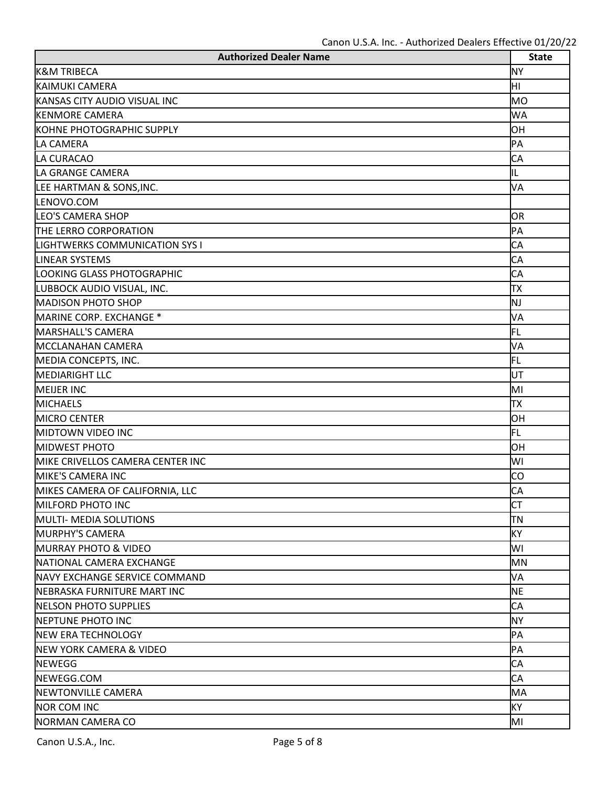| <b>Authorized Dealer Name</b>         | <b>State</b> |
|---------------------------------------|--------------|
| <b>K&amp;M TRIBECA</b>                | <b>NY</b>    |
| KAIMUKI CAMERA                        | ÌНI          |
| KANSAS CITY AUDIO VISUAL INC          | <b>MO</b>    |
| <b>KENMORE CAMERA</b>                 | <b>WA</b>    |
| KOHNE PHOTOGRAPHIC SUPPLY             | <b>OH</b>    |
| LA CAMERA                             | PA           |
| LA CURACAO                            | CA           |
| LA GRANGE CAMERA                      | IL           |
| LEE HARTMAN & SONS, INC.              | VA           |
| LENOVO.COM                            |              |
| <b>LEO'S CAMERA SHOP</b>              | OR           |
| THE LERRO CORPORATION                 | PA           |
| <b>LIGHTWERKS COMMUNICATION SYS I</b> | CA           |
| <b>LINEAR SYSTEMS</b>                 | CA           |
| LOOKING GLASS PHOTOGRAPHIC            | CA           |
| LUBBOCK AUDIO VISUAL, INC.            | TХ           |
| <b>MADISON PHOTO SHOP</b>             | NJ           |
| MARINE CORP. EXCHANGE *               | VA           |
| MARSHALL'S CAMERA                     | FL           |
| MCCLANAHAN CAMERA                     | VA           |
| MEDIA CONCEPTS, INC.                  | FL           |
| <b>MEDIARIGHT LLC</b>                 | UT           |
| <b>MEIJER INC</b>                     | MI           |
| <b>MICHAELS</b>                       | TХ           |
| <b>MICRO CENTER</b>                   | OH           |
| <b>MIDTOWN VIDEO INC</b>              | FL           |
| <b>MIDWEST PHOTO</b>                  | OH           |
| MIKE CRIVELLOS CAMERA CENTER INC      | WI           |
| MIKE'S CAMERA INC                     | CO           |
| MIKES CAMERA OF CALIFORNIA, LLC       | <b>CA</b>    |
| <b>MILFORD PHOTO INC</b>              | <b>CT</b>    |
| <b>MULTI- MEDIA SOLUTIONS</b>         | ΠN           |
| <b>MURPHY'S CAMERA</b>                | KY           |
| <b>MURRAY PHOTO &amp; VIDEO</b>       | WI           |
| <b>INATIONAL CAMERA EXCHANGE</b>      | <b>MN</b>    |
| <b>INAVY EXCHANGE SERVICE COMMAND</b> | VA           |
| <b>INEBRASKA FURNITURE MART INC</b>   | <b>NE</b>    |
| <b>INELSON PHOTO SUPPLIES</b>         | <b>CA</b>    |
| <b>INEPTUNE PHOTO INC</b>             | <b>NY</b>    |
| <b>NEW ERA TECHNOLOGY</b>             | PA           |
| <b>NEW YORK CAMERA &amp; VIDEO</b>    | PA           |
| <b>NEWEGG</b>                         | CA           |
| NEWEGG.COM                            | <b>CA</b>    |
| <b>NEWTONVILLE CAMERA</b>             | MA           |
| <b>NOR COM INC</b>                    | KY           |
| NORMAN CAMERA CO                      | MI           |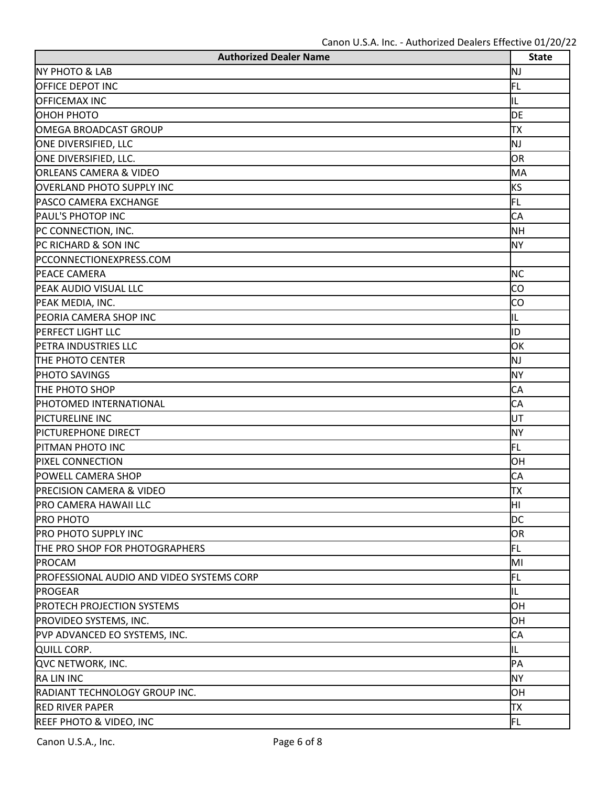| <b>Authorized Dealer Name</b>             | <b>State</b> |
|-------------------------------------------|--------------|
| <b>NY PHOTO &amp; LAB</b>                 | NJ           |
| <b>OFFICE DEPOT INC</b>                   | FL           |
| <b>OFFICEMAX INC</b>                      | IL           |
| ОНОН РНОТО                                | <b>DE</b>    |
| OMEGA BROADCAST GROUP                     | TХ           |
| ONE DIVERSIFIED, LLC                      | ΝJ           |
| ONE DIVERSIFIED, LLC.                     | <b>OR</b>    |
| <b>ORLEANS CAMERA &amp; VIDEO</b>         | MA           |
| <b>OVERLAND PHOTO SUPPLY INC</b>          | <b>KS</b>    |
| <b>PASCO CAMERA EXCHANGE</b>              | FL           |
| <b>PAUL'S PHOTOP INC</b>                  | CA           |
| PC CONNECTION, INC.                       | <b>NH</b>    |
| PC RICHARD & SON INC                      | <b>NY</b>    |
| PCCONNECTIONEXPRESS.COM                   |              |
| PEACE CAMERA                              | <b>NC</b>    |
| PEAK AUDIO VISUAL LLC                     | <b>CO</b>    |
| PEAK MEDIA, INC.                          | CO           |
| PEORIA CAMERA SHOP INC                    | IL           |
| <b>PERFECT LIGHT LLC</b>                  | ID           |
| PETRA INDUSTRIES LLC                      | OK           |
| THE PHOTO CENTER                          | ΝJ           |
| PHOTO SAVINGS                             | <b>NY</b>    |
| THE PHOTO SHOP                            | CA           |
| PHOTOMED INTERNATIONAL                    | <b>CA</b>    |
| PICTURELINE INC                           | lUТ          |
| <b>PICTUREPHONE DIRECT</b>                | <b>NY</b>    |
| PITMAN PHOTO INC                          | FL           |
| <b>PIXEL CONNECTION</b>                   | OH           |
| POWELL CAMERA SHOP                        | <b>CA</b>    |
| <b>PRECISION CAMERA &amp; VIDEO</b>       | lтx          |
| <b>PRO CAMERA HAWAII LLC</b>              | ÌНI          |
| <b>PRO PHOTO</b>                          | <b>DC</b>    |
| <b>PRO PHOTO SUPPLY INC</b>               | OR           |
| THE PRO SHOP FOR PHOTOGRAPHERS            | FL           |
| <b>PROCAM</b>                             | MI           |
| PROFESSIONAL AUDIO AND VIDEO SYSTEMS CORP | FL           |
| <b>PROGEAR</b>                            | IL           |
| <b>PROTECH PROJECTION SYSTEMS</b>         | <b>OH</b>    |
| PROVIDEO SYSTEMS, INC.                    | OH           |
| PVP ADVANCED EO SYSTEMS, INC.             | <b>CA</b>    |
| QUILL CORP.                               | IL           |
| QVC NETWORK, INC.                         | PA           |
| <b>RALIN INC</b>                          | <b>NY</b>    |
| RADIANT TECHNOLOGY GROUP INC.             | OH           |
| <b>RED RIVER PAPER</b>                    | TХ           |
| <b>REEF PHOTO &amp; VIDEO, INC</b>        | FL           |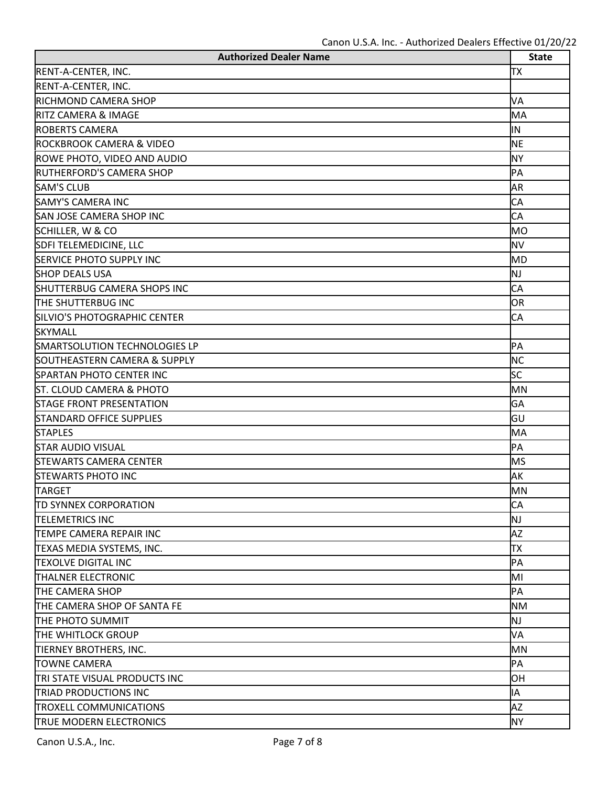| <b>Authorized Dealer Name</b>       | <b>State</b> |
|-------------------------------------|--------------|
| RENT-A-CENTER, INC.                 | TХ           |
| RENT-A-CENTER, INC.                 |              |
| <b>RICHMOND CAMERA SHOP</b>         | VA           |
| <b>RITZ CAMERA &amp; IMAGE</b>      | MA           |
| <b>ROBERTS CAMERA</b>               | lΝ           |
| <b>ROCKBROOK CAMERA &amp; VIDEO</b> | <b>NE</b>    |
| ROWE PHOTO, VIDEO AND AUDIO         | <b>NY</b>    |
| <b>RUTHERFORD'S CAMERA SHOP</b>     | PA           |
| <b>SAM'S CLUB</b>                   | <b>AR</b>    |
| <b>SAMY'S CAMERA INC</b>            | <b>CA</b>    |
| <b>SAN JOSE CAMERA SHOP INC</b>     | <b>CA</b>    |
| SCHILLER, W & CO                    | <b>MO</b>    |
| SDFI TELEMEDICINE, LLC              | <b>NV</b>    |
| <b>SERVICE PHOTO SUPPLY INC</b>     | <b>MD</b>    |
| <b>SHOP DEALS USA</b>               | NJ           |
| <b>SHUTTERBUG CAMERA SHOPS INC</b>  | CA           |
| THE SHUTTERBUG INC                  | OR           |
| SILVIO'S PHOTOGRAPHIC CENTER        | <b>CA</b>    |
| <b>SKYMALL</b>                      |              |
| SMARTSOLUTION TECHNOLOGIES LP       | PA           |
| SOUTHEASTERN CAMERA & SUPPLY        | <b>NC</b>    |
| <b>SPARTAN PHOTO CENTER INC</b>     | <b>SC</b>    |
| <b>ST. CLOUD CAMERA &amp; PHOTO</b> | <b>MN</b>    |
| <b>STAGE FRONT PRESENTATION</b>     | GA           |
| <b>STANDARD OFFICE SUPPLIES</b>     | lgυ          |
| <b>STAPLES</b>                      | MA           |
| <b>STAR AUDIO VISUAL</b>            | PA           |
| <b>STEWARTS CAMERA CENTER</b>       | <b>MS</b>    |
| <b>STEWARTS PHOTO INC</b>           | AK           |
| <b>TARGET</b>                       | MN           |
| <b>TD SYNNEX CORPORATION</b>        | <b>CA</b>    |
| <b>TELEMETRICS INC</b>              | NJ           |
| TEMPE CAMERA REPAIR INC             | <b>AZ</b>    |
| TEXAS MEDIA SYSTEMS, INC.           | TХ           |
| <b>TEXOLVE DIGITAL INC</b>          | PA           |
| <b>THALNER ELECTRONIC</b>           | MI           |
| THE CAMERA SHOP                     | PA           |
| THE CAMERA SHOP OF SANTA FE         | <b>NM</b>    |
| THE PHOTO SUMMIT                    | NJ           |
| THE WHITLOCK GROUP                  | VA           |
| TIERNEY BROTHERS, INC.              | <b>MN</b>    |
| <b>TOWNE CAMERA</b>                 | PA           |
| TRI STATE VISUAL PRODUCTS INC       | <b>OH</b>    |
| <b>TRIAD PRODUCTIONS INC</b>        | ΙA           |
| <b>TROXELL COMMUNICATIONS</b>       | AZ           |
| TRUE MODERN ELECTRONICS             | <b>NY</b>    |